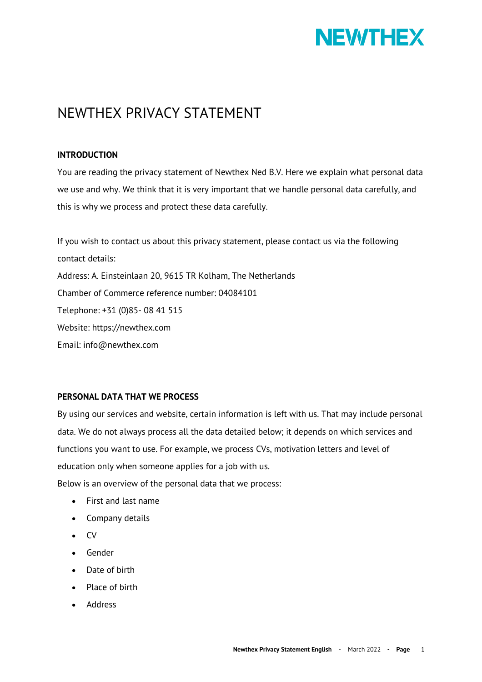

# NEWTHEX PRIVACY STATEMENT

## **INTRODUCTION**

You are reading the privacy statement of Newthex Ned B.V. Here we explain what personal data we use and why. We think that it is very important that we handle personal data carefully, and this is why we process and protect these data carefully.

If you wish to contact us about this privacy statement, please contact us via the following contact details: Address: A. Einsteinlaan 20, 9615 TR Kolham, The Netherlands Chamber of Commerce reference number: 04084101 Telephone: +31 (0)85- 08 41 515 Website: https://newthex.com Email: info@newthex.com

## **PERSONAL DATA THAT WE PROCESS**

By using our services and website, certain information is left with us. That may include personal data. We do not always process all the data detailed below; it depends on which services and functions you want to use. For example, we process CVs, motivation letters and level of education only when someone applies for a job with us.

Below is an overview of the personal data that we process:

- First and last name
- Company details
- CV
- Gender
- Date of birth
- Place of birth
- Address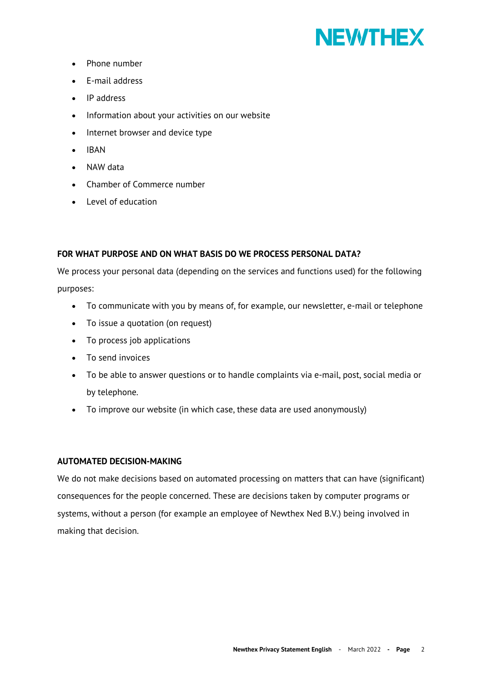

- Phone number
- E-mail address
- IP address
- Information about your activities on our website
- Internet browser and device type
- IBAN
- NAW data
- Chamber of Commerce number
- Level of education

## **FOR WHAT PURPOSE AND ON WHAT BASIS DO WE PROCESS PERSONAL DATA?**

We process your personal data (depending on the services and functions used) for the following purposes:

- To communicate with you by means of, for example, our newsletter, e-mail or telephone
- To issue a quotation (on request)
- To process job applications
- To send invoices
- To be able to answer questions or to handle complaints via e-mail, post, social media or by telephone.
- To improve our website (in which case, these data are used anonymously)

#### **AUTOMATED DECISION-MAKING**

We do not make decisions based on automated processing on matters that can have (significant) consequences for the people concerned. These are decisions taken by computer programs or systems, without a person (for example an employee of Newthex Ned B.V.) being involved in making that decision.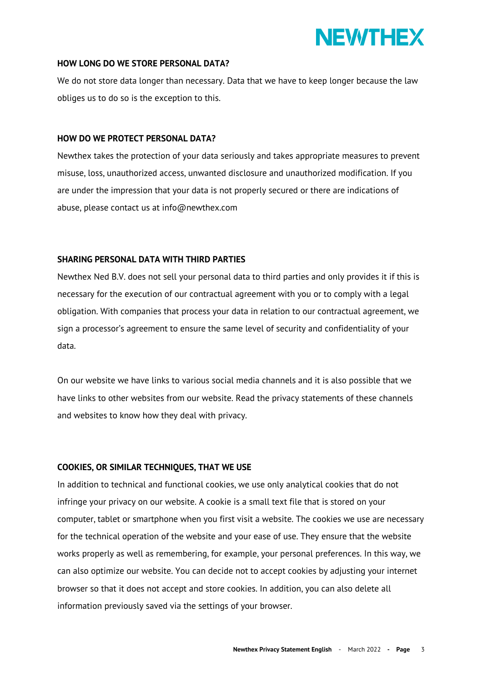

#### **HOW LONG DO WE STORE PERSONAL DATA?**

We do not store data longer than necessary. Data that we have to keep longer because the law obliges us to do so is the exception to this.

#### **HOW DO WE PROTECT PERSONAL DATA?**

Newthex takes the protection of your data seriously and takes appropriate measures to prevent misuse, loss, unauthorized access, unwanted disclosure and unauthorized modification. If you are under the impression that your data is not properly secured or there are indications of abuse, please contact us at info@newthex.com

#### **SHARING PERSONAL DATA WITH THIRD PARTIES**

Newthex Ned B.V. does not sell your personal data to third parties and only provides it if this is necessary for the execution of our contractual agreement with you or to comply with a legal obligation. With companies that process your data in relation to our contractual agreement, we sign a processor's agreement to ensure the same level of security and confidentiality of your data.

On our website we have links to various social media channels and it is also possible that we have links to other websites from our website. Read the privacy statements of these channels and websites to know how they deal with privacy.

## **COOKIES, OR SIMILAR TECHNIQUES, THAT WE USE**

In addition to technical and functional cookies, we use only analytical cookies that do not infringe your privacy on our website. A cookie is a small text file that is stored on your computer, tablet or smartphone when you first visit a website. The cookies we use are necessary for the technical operation of the website and your ease of use. They ensure that the website works properly as well as remembering, for example, your personal preferences. In this way, we can also optimize our website. You can decide not to accept cookies by adjusting your internet browser so that it does not accept and store cookies. In addition, you can also delete all information previously saved via the settings of your browser.